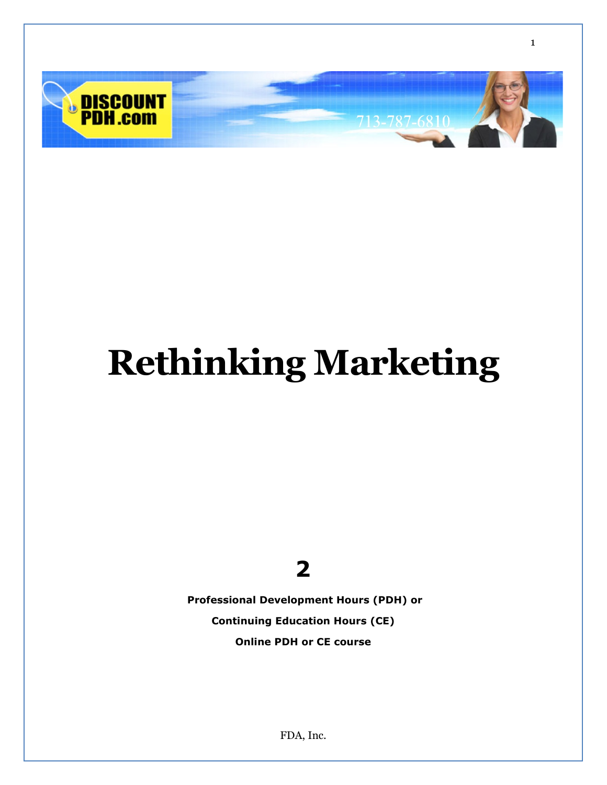

1

# **Rethinking Marketing**

**2**

**Professional Development Hours (PDH) or Continuing Education Hours (CE) Online PDH or CE course**

FDA, Inc.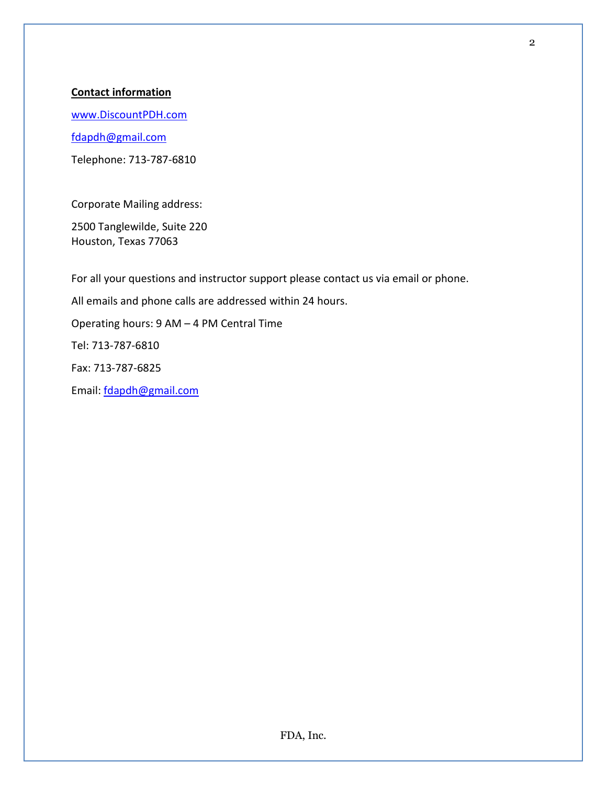# **Contact information**

[www.DiscountPDH.com](http://www.discountpdh.com/)

[fdapdh@gmail.com](mailto:fdapdh@gmail.com)

Telephone: 713-787-6810

Corporate Mailing address:

2500 Tanglewilde, Suite 220 Houston, Texas 77063

For all your questions and instructor support please contact us via email or phone.

All emails and phone calls are addressed within 24 hours.

Operating hours: 9 AM – 4 PM Central Time

Tel: 713-787-6810

Fax: 713-787-6825

Email: [fdapdh@gmail.com](mailto:fdapdh@gmail.com)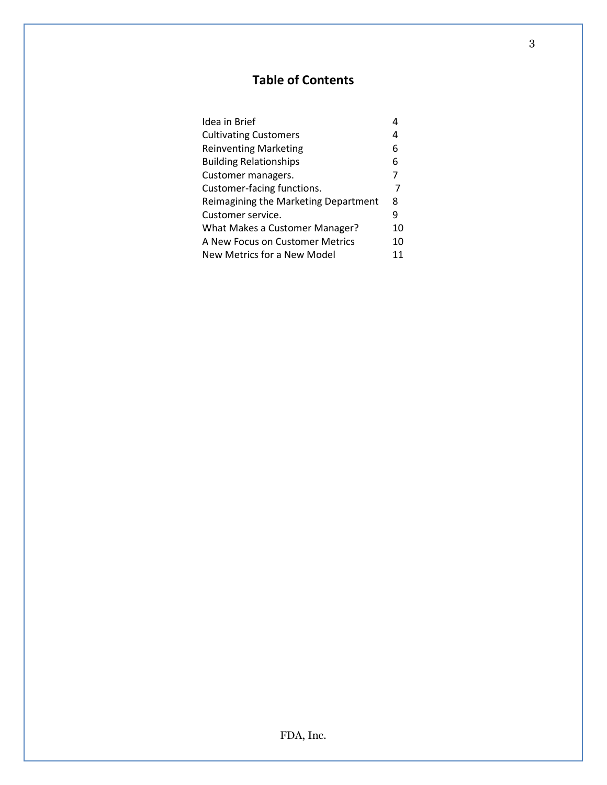# **Table of Contents**

| Idea in Brief                         |    |
|---------------------------------------|----|
| <b>Cultivating Customers</b>          | 4  |
| <b>Reinventing Marketing</b>          | 6  |
| <b>Building Relationships</b>         | 6  |
| Customer managers.                    | 7  |
| Customer-facing functions.            | 7  |
| Reimagining the Marketing Department  | 8  |
| Customer service.                     | 9  |
| <b>What Makes a Customer Manager?</b> | 10 |
| A New Focus on Customer Metrics       | 10 |
| <b>New Metrics for a New Model</b>    | 11 |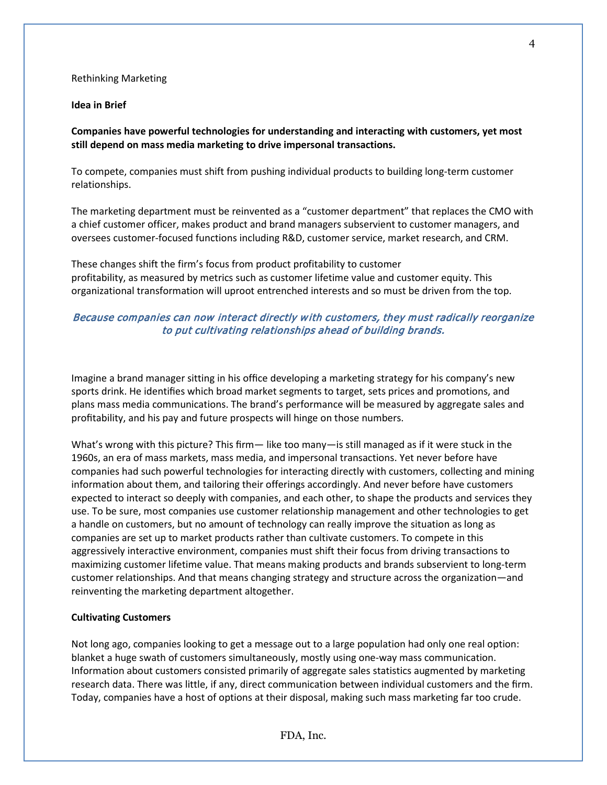#### Rethinking Marketing

#### **Idea in Brief**

**Companies have powerful technologies for understanding and interacting with customers, yet most still depend on mass media marketing to drive impersonal transactions.**

To compete, companies must shift from pushing individual products to building long-term customer relationships.

The marketing department must be reinvented as a "customer department" that replaces the CMO with a chief customer officer, makes product and brand managers subservient to customer managers, and oversees customer-focused functions including R&D, customer service, market research, and CRM.

These changes shift the firm's focus from product profitability to customer profitability, as measured by metrics such as customer lifetime value and customer equity. This organizational transformation will uproot entrenched interests and so must be driven from the top.

# Because companies can now interact directly with customers, they must radically reorganize to put cultivating relationships ahead of building brands.

Imagine a brand manager sitting in his office developing a marketing strategy for his company's new sports drink. He identifies which broad market segments to target, sets prices and promotions, and plans mass media communications. The brand's performance will be measured by aggregate sales and profitability, and his pay and future prospects will hinge on those numbers.

What's wrong with this picture? This firm— like too many—is still managed as if it were stuck in the 1960s, an era of mass markets, mass media, and impersonal transactions. Yet never before have companies had such powerful technologies for interacting directly with customers, collecting and mining information about them, and tailoring their offerings accordingly. And never before have customers expected to interact so deeply with companies, and each other, to shape the products and services they use. To be sure, most companies use customer relationship management and other technologies to get a handle on customers, but no amount of technology can really improve the situation as long as companies are set up to market products rather than cultivate customers. To compete in this aggressively interactive environment, companies must shift their focus from driving transactions to maximizing customer lifetime value. That means making products and brands subservient to long-term customer relationships. And that means changing strategy and structure across the organization—and reinventing the marketing department altogether.

#### **Cultivating Customers**

Not long ago, companies looking to get a message out to a large population had only one real option: blanket a huge swath of customers simultaneously, mostly using one-way mass communication. Information about customers consisted primarily of aggregate sales statistics augmented by marketing research data. There was little, if any, direct communication between individual customers and the firm. Today, companies have a host of options at their disposal, making such mass marketing far too crude.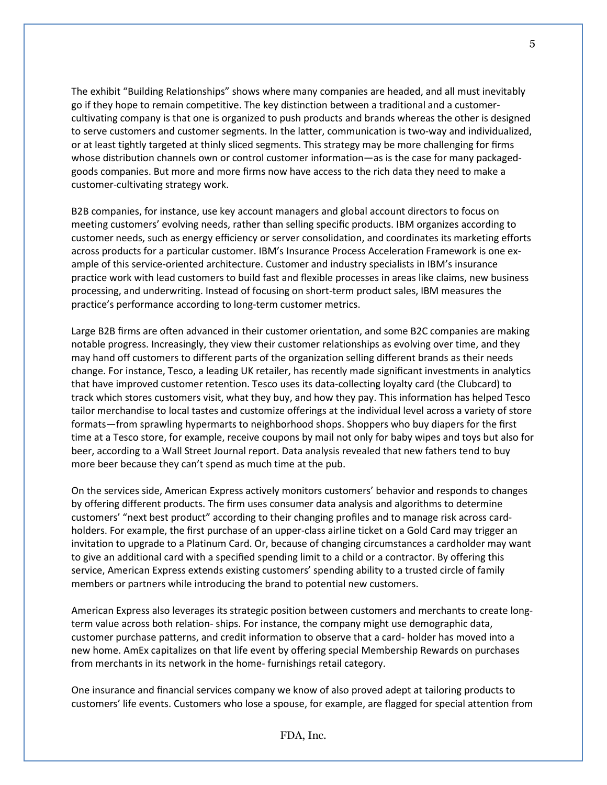The exhibit "Building Relationships" shows where many companies are headed, and all must inevitably go if they hope to remain competitive. The key distinction between a traditional and a customercultivating company is that one is organized to push products and brands whereas the other is designed to serve customers and customer segments. In the latter, communication is two-way and individualized, or at least tightly targeted at thinly sliced segments. This strategy may be more challenging for firms whose distribution channels own or control customer information—as is the case for many packagedgoods companies. But more and more firms now have access to the rich data they need to make a customer-cultivating strategy work.

B2B companies, for instance, use key account managers and global account directors to focus on meeting customers' evolving needs, rather than selling specific products. IBM organizes according to customer needs, such as energy efficiency or server consolidation, and coordinates its marketing efforts across products for a particular customer. IBM's Insurance Process Acceleration Framework is one example of this service-oriented architecture. Customer and industry specialists in IBM's insurance practice work with lead customers to build fast and flexible processes in areas like claims, new business processing, and underwriting. Instead of focusing on short-term product sales, IBM measures the practice's performance according to long-term customer metrics.

Large B2B firms are often advanced in their customer orientation, and some B2C companies are making notable progress. Increasingly, they view their customer relationships as evolving over time, and they may hand off customers to different parts of the organization selling different brands as their needs change. For instance, Tesco, a leading UK retailer, has recently made significant investments in analytics that have improved customer retention. Tesco uses its data-collecting loyalty card (the Clubcard) to track which stores customers visit, what they buy, and how they pay. This information has helped Tesco tailor merchandise to local tastes and customize offerings at the individual level across a variety of store formats—from sprawling hypermarts to neighborhood shops. Shoppers who buy diapers for the first time at a Tesco store, for example, receive coupons by mail not only for baby wipes and toys but also for beer, according to a Wall Street Journal report. Data analysis revealed that new fathers tend to buy more beer because they can't spend as much time at the pub.

On the services side, American Express actively monitors customers' behavior and responds to changes by offering different products. The firm uses consumer data analysis and algorithms to determine customers' "next best product" according to their changing profiles and to manage risk across cardholders. For example, the first purchase of an upper-class airline ticket on a Gold Card may trigger an invitation to upgrade to a Platinum Card. Or, because of changing circumstances a cardholder may want to give an additional card with a specified spending limit to a child or a contractor. By offering this service, American Express extends existing customers' spending ability to a trusted circle of family members or partners while introducing the brand to potential new customers.

American Express also leverages its strategic position between customers and merchants to create longterm value across both relation- ships. For instance, the company might use demographic data, customer purchase patterns, and credit information to observe that a card- holder has moved into a new home. AmEx capitalizes on that life event by offering special Membership Rewards on purchases from merchants in its network in the home- furnishings retail category.

One insurance and financial services company we know of also proved adept at tailoring products to customers' life events. Customers who lose a spouse, for example, are flagged for special attention from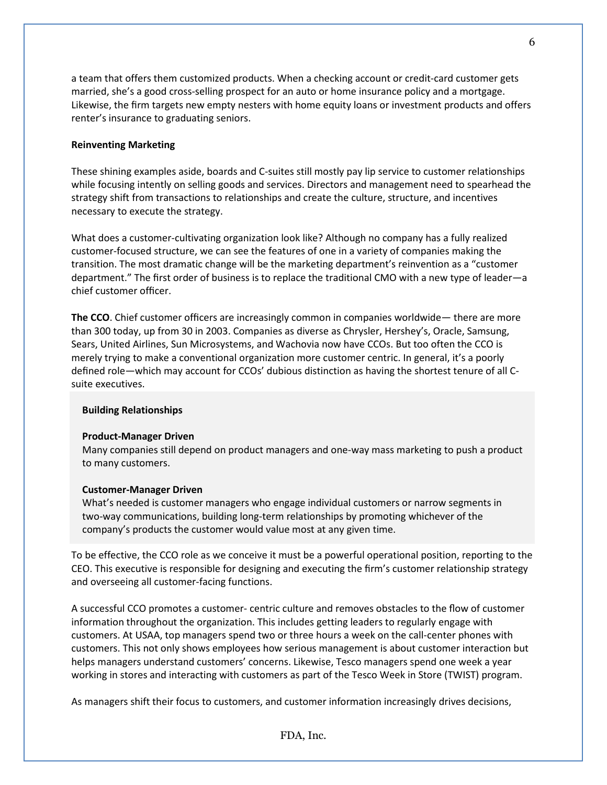a team that offers them customized products. When a checking account or credit-card customer gets married, she's a good cross-selling prospect for an auto or home insurance policy and a mortgage. Likewise, the firm targets new empty nesters with home equity loans or investment products and offers renter's insurance to graduating seniors.

#### **Reinventing Marketing**

These shining examples aside, boards and C-suites still mostly pay lip service to customer relationships while focusing intently on selling goods and services. Directors and management need to spearhead the strategy shift from transactions to relationships and create the culture, structure, and incentives necessary to execute the strategy.

What does a customer-cultivating organization look like? Although no company has a fully realized customer-focused structure, we can see the features of one in a variety of companies making the transition. The most dramatic change will be the marketing department's reinvention as a "customer department." The first order of business is to replace the traditional CMO with a new type of leader—a chief customer officer.

**The CCO**. Chief customer officers are increasingly common in companies worldwide— there are more than 300 today, up from 30 in 2003. Companies as diverse as Chrysler, Hershey's, Oracle, Samsung, Sears, United Airlines, Sun Microsystems, and Wachovia now have CCOs. But too often the CCO is merely trying to make a conventional organization more customer centric. In general, it's a poorly defined role—which may account for CCOs' dubious distinction as having the shortest tenure of all Csuite executives.

#### **Building Relationships**

#### **Product-Manager Driven**

Many companies still depend on product managers and one-way mass marketing to push a product to many customers.

#### **Customer-Manager Driven**

What's needed is customer managers who engage individual customers or narrow segments in two-way communications, building long-term relationships by promoting whichever of the company's products the customer would value most at any given time.

To be effective, the CCO role as we conceive it must be a powerful operational position, reporting to the CEO. This executive is responsible for designing and executing the firm's customer relationship strategy and overseeing all customer-facing functions.

A successful CCO promotes a customer- centric culture and removes obstacles to the flow of customer information throughout the organization. This includes getting leaders to regularly engage with customers. At USAA, top managers spend two or three hours a week on the call-center phones with customers. This not only shows employees how serious management is about customer interaction but helps managers understand customers' concerns. Likewise, Tesco managers spend one week a year working in stores and interacting with customers as part of the Tesco Week in Store (TWIST) program.

As managers shift their focus to customers, and customer information increasingly drives decisions,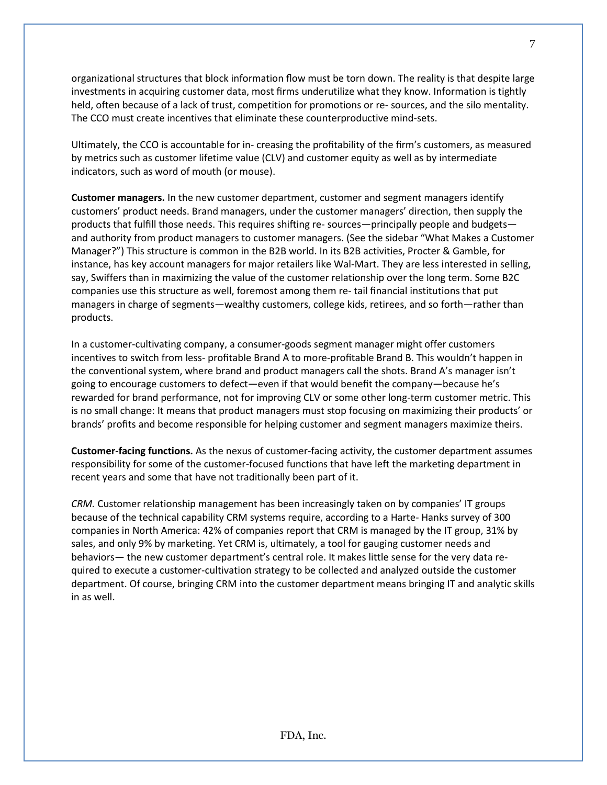organizational structures that block information flow must be torn down. The reality is that despite large investments in acquiring customer data, most firms underutilize what they know. Information is tightly held, often because of a lack of trust, competition for promotions or re- sources, and the silo mentality. The CCO must create incentives that eliminate these counterproductive mind-sets.

Ultimately, the CCO is accountable for in- creasing the profitability of the firm's customers, as measured by metrics such as customer lifetime value (CLV) and customer equity as well as by intermediate indicators, such as word of mouth (or mouse).

**Customer managers.** In the new customer department, customer and segment managers identify customers' product needs. Brand managers, under the customer managers' direction, then supply the products that fulfill those needs. This requires shifting re- sources—principally people and budgets and authority from product managers to customer managers. (See the sidebar "What Makes a Customer Manager?") This structure is common in the B2B world. In its B2B activities, Procter & Gamble, for instance, has key account managers for major retailers like Wal-Mart. They are less interested in selling, say, Swiffers than in maximizing the value of the customer relationship over the long term. Some B2C companies use this structure as well, foremost among them re- tail financial institutions that put managers in charge of segments—wealthy customers, college kids, retirees, and so forth—rather than products.

In a customer-cultivating company, a consumer-goods segment manager might offer customers incentives to switch from less- profitable Brand A to more-profitable Brand B. This wouldn't happen in the conventional system, where brand and product managers call the shots. Brand A's manager isn't going to encourage customers to defect—even if that would benefit the company—because he's rewarded for brand performance, not for improving CLV or some other long-term customer metric. This is no small change: It means that product managers must stop focusing on maximizing their products' or brands' profits and become responsible for helping customer and segment managers maximize theirs.

**Customer-facing functions.** As the nexus of customer-facing activity, the customer department assumes responsibility for some of the customer-focused functions that have left the marketing department in recent years and some that have not traditionally been part of it.

*CRM.* Customer relationship management has been increasingly taken on by companies' IT groups because of the technical capability CRM systems require, according to a Harte- Hanks survey of 300 companies in North America: 42% of companies report that CRM is managed by the IT group, 31% by sales, and only 9% by marketing. Yet CRM is, ultimately, a tool for gauging customer needs and behaviors— the new customer department's central role. It makes little sense for the very data required to execute a customer-cultivation strategy to be collected and analyzed outside the customer department. Of course, bringing CRM into the customer department means bringing IT and analytic skills in as well.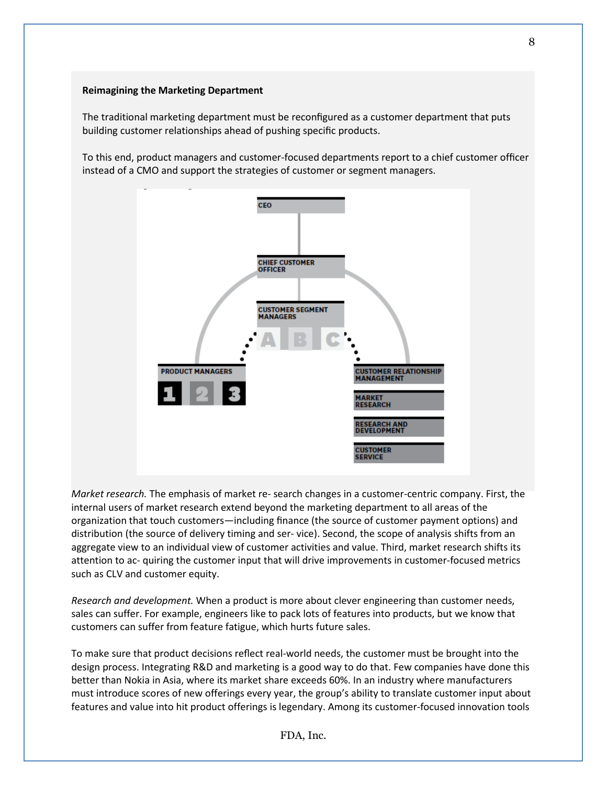# **Reimagining the Marketing Department**

The traditional marketing department must be reconfigured as a customer department that puts building customer relationships ahead of pushing specific products.

To this end, product managers and customer-focused departments report to a chief customer officer instead of a CMO and support the strategies of customer or segment managers.



*Market research.* The emphasis of market re- search changes in a customer-centric company. First, the internal users of market research extend beyond the marketing department to all areas of the organization that touch customers—including finance (the source of customer payment options) and distribution (the source of delivery timing and ser- vice). Second, the scope of analysis shifts from an aggregate view to an individual view of customer activities and value. Third, market research shifts its attention to ac- quiring the customer input that will drive improvements in customer-focused metrics such as CLV and customer equity.

*Research and development.* When a product is more about clever engineering than customer needs, sales can suffer. For example, engineers like to pack lots of features into products, but we know that customers can suffer from feature fatigue, which hurts future sales.

To make sure that product decisions reflect real-world needs, the customer must be brought into the design process. Integrating R&D and marketing is a good way to do that. Few companies have done this better than Nokia in Asia, where its market share exceeds 60%. In an industry where manufacturers must introduce scores of new offerings every year, the group's ability to translate customer input about features and value into hit product offerings is legendary. Among its customer-focused innovation tools

8

FDA, Inc.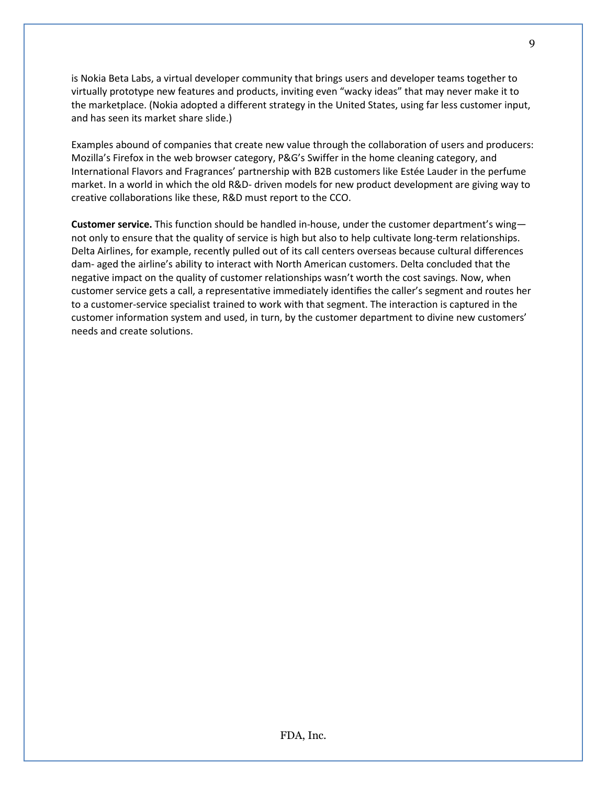is Nokia Beta Labs, a virtual developer community that brings users and developer teams together to virtually prototype new features and products, inviting even "wacky ideas" that may never make it to the marketplace. (Nokia adopted a different strategy in the United States, using far less customer input, and has seen its market share slide.)

Examples abound of companies that create new value through the collaboration of users and producers: Mozilla's Firefox in the web browser category, P&G's Swiffer in the home cleaning category, and International Flavors and Fragrances' partnership with B2B customers like Estée Lauder in the perfume market. In a world in which the old R&D- driven models for new product development are giving way to creative collaborations like these, R&D must report to the CCO.

**Customer service.** This function should be handled in-house, under the customer department's wing not only to ensure that the quality of service is high but also to help cultivate long-term relationships. Delta Airlines, for example, recently pulled out of its call centers overseas because cultural differences dam- aged the airline's ability to interact with North American customers. Delta concluded that the negative impact on the quality of customer relationships wasn't worth the cost savings. Now, when customer service gets a call, a representative immediately identifies the caller's segment and routes her to a customer-service specialist trained to work with that segment. The interaction is captured in the customer information system and used, in turn, by the customer department to divine new customers' needs and create solutions.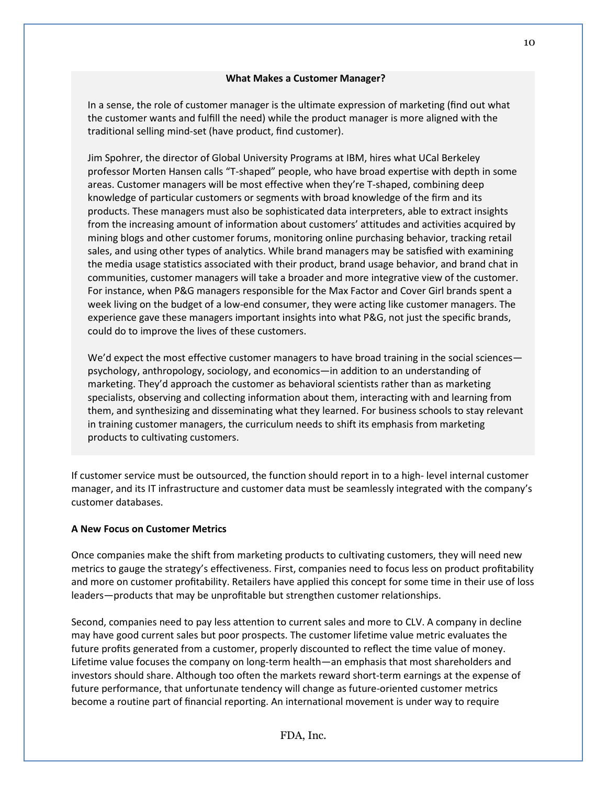# **What Makes a Customer Manager?**

In a sense, the role of customer manager is the ultimate expression of marketing (find out what the customer wants and fulfill the need) while the product manager is more aligned with the traditional selling mind-set (have product, find customer).

Jim Spohrer, the director of Global University Programs at IBM, hires what UCal Berkeley professor Morten Hansen calls "T-shaped" people, who have broad expertise with depth in some areas. Customer managers will be most effective when they're T-shaped, combining deep knowledge of particular customers or segments with broad knowledge of the firm and its products. These managers must also be sophisticated data interpreters, able to extract insights from the increasing amount of information about customers' attitudes and activities acquired by mining blogs and other customer forums, monitoring online purchasing behavior, tracking retail sales, and using other types of analytics. While brand managers may be satisfied with examining the media usage statistics associated with their product, brand usage behavior, and brand chat in communities, customer managers will take a broader and more integrative view of the customer. For instance, when P&G managers responsible for the Max Factor and Cover Girl brands spent a week living on the budget of a low-end consumer, they were acting like customer managers. The experience gave these managers important insights into what P&G, not just the specific brands, could do to improve the lives of these customers.

We'd expect the most effective customer managers to have broad training in the social sciences psychology, anthropology, sociology, and economics—in addition to an understanding of marketing. They'd approach the customer as behavioral scientists rather than as marketing specialists, observing and collecting information about them, interacting with and learning from them, and synthesizing and disseminating what they learned. For business schools to stay relevant in training customer managers, the curriculum needs to shift its emphasis from marketing products to cultivating customers.

If customer service must be outsourced, the function should report in to a high- level internal customer manager, and its IT infrastructure and customer data must be seamlessly integrated with the company's customer databases.

# **A New Focus on Customer Metrics**

Once companies make the shift from marketing products to cultivating customers, they will need new metrics to gauge the strategy's effectiveness. First, companies need to focus less on product profitability and more on customer profitability. Retailers have applied this concept for some time in their use of loss leaders—products that may be unprofitable but strengthen customer relationships.

Second, companies need to pay less attention to current sales and more to CLV. A company in decline may have good current sales but poor prospects. The customer lifetime value metric evaluates the future profits generated from a customer, properly discounted to reflect the time value of money. Lifetime value focuses the company on long-term health—an emphasis that most shareholders and investors should share. Although too often the markets reward short-term earnings at the expense of future performance, that unfortunate tendency will change as future-oriented customer metrics become a routine part of financial reporting. An international movement is under way to require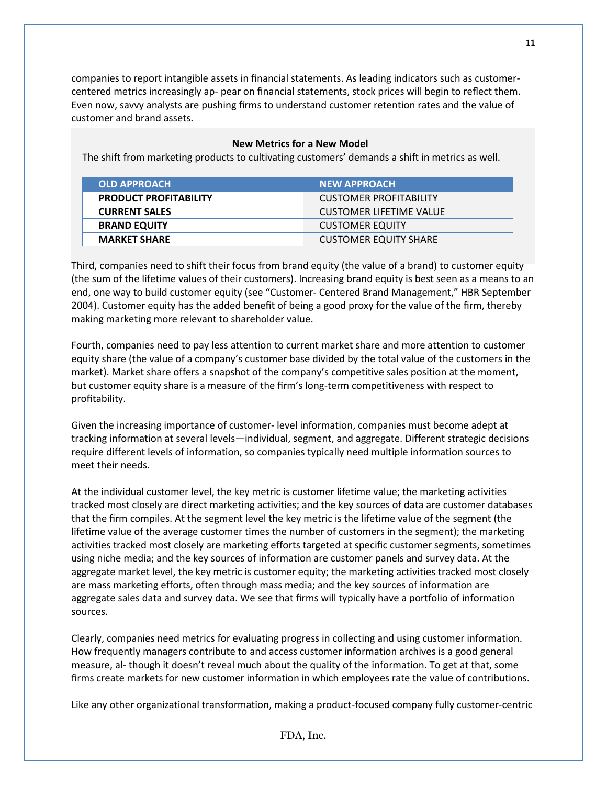companies to report intangible assets in financial statements. As leading indicators such as customercentered metrics increasingly ap- pear on financial statements, stock prices will begin to reflect them. Even now, savvy analysts are pushing firms to understand customer retention rates and the value of customer and brand assets.

# **New Metrics for a New Model**

The shift from marketing products to cultivating customers' demands a shift in metrics as well.

| <b>OLD APPROACH</b>          | <b>NEW APPROACH</b>            |
|------------------------------|--------------------------------|
| <b>PRODUCT PROFITABILITY</b> | <b>CUSTOMER PROFITABILITY</b>  |
| <b>CURRENT SALES</b>         | <b>CUSTOMER LIFETIME VALUE</b> |
| <b>BRAND EQUITY</b>          | <b>CUSTOMER EQUITY</b>         |
| <b>MARKET SHARE</b>          | <b>CUSTOMER EQUITY SHARE</b>   |

Third, companies need to shift their focus from brand equity (the value of a brand) to customer equity (the sum of the lifetime values of their customers). Increasing brand equity is best seen as a means to an end, one way to build customer equity (see "Customer- Centered Brand Management," HBR September 2004). Customer equity has the added benefit of being a good proxy for the value of the firm, thereby making marketing more relevant to shareholder value.

Fourth, companies need to pay less attention to current market share and more attention to customer equity share (the value of a company's customer base divided by the total value of the customers in the market). Market share offers a snapshot of the company's competitive sales position at the moment, but customer equity share is a measure of the firm's long-term competitiveness with respect to profitability.

Given the increasing importance of customer- level information, companies must become adept at tracking information at several levels—individual, segment, and aggregate. Different strategic decisions require different levels of information, so companies typically need multiple information sources to meet their needs.

At the individual customer level, the key metric is customer lifetime value; the marketing activities tracked most closely are direct marketing activities; and the key sources of data are customer databases that the firm compiles. At the segment level the key metric is the lifetime value of the segment (the lifetime value of the average customer times the number of customers in the segment); the marketing activities tracked most closely are marketing efforts targeted at specific customer segments, sometimes using niche media; and the key sources of information are customer panels and survey data. At the aggregate market level, the key metric is customer equity; the marketing activities tracked most closely are mass marketing efforts, often through mass media; and the key sources of information are aggregate sales data and survey data. We see that firms will typically have a portfolio of information sources.

Clearly, companies need metrics for evaluating progress in collecting and using customer information. How frequently managers contribute to and access customer information archives is a good general measure, al- though it doesn't reveal much about the quality of the information. To get at that, some firms create markets for new customer information in which employees rate the value of contributions.

Like any other organizational transformation, making a product-focused company fully customer-centric

FDA, Inc.